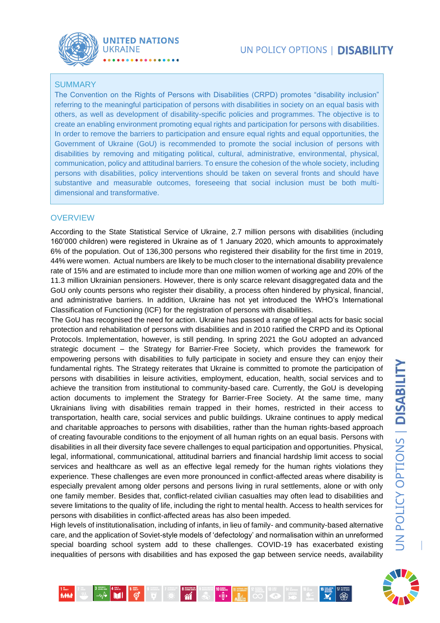

### **SUMMARY**

The Convention on the Rights of Persons with Disabilities (CRPD) promotes "disability inclusion" referring to the meaningful participation of persons with disabilities in society on an equal basis with others, as well as development of disability-specific policies and programmes. The objective is to create an enabling environment promoting equal rights and participation for persons with disabilities. In order to remove the barriers to participation and ensure equal rights and equal opportunities, the Government of Ukraine (GoU) is recommended to promote the social inclusion of persons with disabilities by removing and mitigating political, cultural, administrative, environmental, physical, communication, policy and attitudinal barriers. To ensure the cohesion of the whole society, including persons with disabilities, policy interventions should be taken on several fronts and should have substantive and measurable outcomes, foreseeing that social inclusion must be both multidimensional and transformative.

### **OVERVIEW**

*<u>MMA</u>* 

According to the State Statistical Service of Ukraine, 2.7 million persons with disabilities (including 160'000 children) were registered in Ukraine as of 1 January 2020, which amounts to approximately 6% of the population. Out of 136,300 persons who registered their disability for the first time in 2019, 44% were women. Actual numbers are likely to be much closer to the international disability prevalence rate of 15% and are estimated to include more than one million women of working age and 20% of the 11.3 million Ukrainian pensioners. However, there is only scarce relevant disaggregated data and the GoU only counts persons who register their disability, a process often hindered by physical, financial, and administrative barriers. In addition, Ukraine has not yet introduced the WHO's International Classification of Functioning (ICF) for the registration of persons with disabilities.

The GoU has recognised the need for action. Ukraine has passed a range of legal acts for basic social protection and rehabilitation of persons with disabilities and in 2010 ratified the CRPD and its Optional Protocols. Implementation, however, is still pending. In spring 2021 the GoU adopted an advanced strategic document – the Strategy for Barrier-Free Society, which provides the framework for empowering persons with disabilities to fully participate in society and ensure they can enjoy their fundamental rights. The Strategy reiterates that Ukraine is committed to promote the participation of persons with disabilities in leisure activities, employment, education, health, social services and to achieve the transition from institutional to community-based care. Currently, the GoU is developing action documents to implement the Strategy for Barrier-Free Society. At the same time, many Ukrainians living with disabilities remain trapped in their homes, restricted in their access to transportation, health care, social services and public buildings. Ukraine continues to apply medical and charitable approaches to persons with disabilities, rather than the human rights-based approach of creating favourable conditions to the enjoyment of all human rights on an equal basis. Persons with disabilities in all their diversity face severe challenges to equal participation and opportunities. Physical, legal, informational, communicational, attitudinal barriers and financial hardship limit access to social services and healthcare as well as an effective legal remedy for the human rights violations they experience. These challenges are even more pronounced in conflict-affected areas where disability is especially prevalent among older persons and persons living in rural settlements, alone or with only one family member. Besides that, conflict-related civilian casualties may often lead to disabilities and severe limitations to the quality of life, including the right to mental health. Access to health services for persons with disabilities in conflict-affected areas has also been impeded.

High levels of institutionalisation, including of infants, in lieu of family- and community-based alternative care, and the application of Soviet-style models of 'defectology' and normalisation within an unreformed special boarding school system add to these challenges. COVID-19 has exacerbated existing inequalities of persons with disabilities and has exposed the gap between service needs, availability

 $\begin{picture}(10,10) \put(0,0){\line(1,0){10}} \put(10,0){\line(1,0){10}} \put(10,0){\line(1,0){10}} \put(10,0){\line(1,0){10}} \put(10,0){\line(1,0){10}} \put(10,0){\line(1,0){10}} \put(10,0){\line(1,0){10}} \put(10,0){\line(1,0){10}} \put(10,0){\line(1,0){10}} \put(10,0){\line(1,0){10}} \put(10,0){\line(1,0){10}} \put(10,0){\line(1$ 

 $\begin{picture}(20,10) \put(0,0){\line(1,0){10}} \put(15,0){\line(1,0){10}} \put(15,0){\line(1,0){10}} \put(15,0){\line(1,0){10}} \put(15,0){\line(1,0){10}} \put(15,0){\line(1,0){10}} \put(15,0){\line(1,0){10}} \put(15,0){\line(1,0){10}} \put(15,0){\line(1,0){10}} \put(15,0){\line(1,0){10}} \put(15,0){\line(1,0){10}} \put(15,0){\line(1$ 

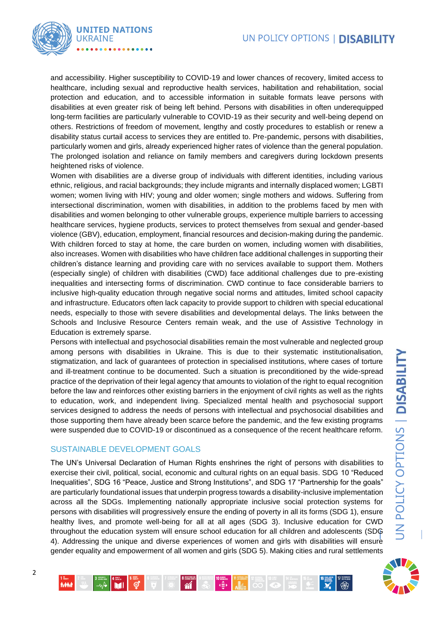

and accessibility. Higher susceptibility to COVID-19 and lower chances of recovery, limited access to healthcare, including sexual and reproductive health services, habilitation and rehabilitation, social protection and education, and to accessible information in suitable formats leave persons with disabilities at even greater risk of being left behind. Persons with disabilities in often underequipped long-term facilities are particularly vulnerable to COVID-19 as their security and well-being depend on others. Restrictions of freedom of movement, lengthy and costly procedures to establish or renew a disability status curtail access to services they are entitled to. Pre-pandemic, persons with disabilities, particularly women and girls, already experienced higher rates of violence than the general population. The prolonged isolation and reliance on family members and caregivers during lockdown presents heightened risks of violence.

Women with disabilities are a diverse group of individuals with different identities, including various ethnic, religious, and racial backgrounds; they include migrants and internally displaced women; LGBTI women; women living with HIV; young and older women; single mothers and widows. Suffering from intersectional discrimination, women with disabilities, in addition to the problems faced by men with disabilities and women belonging to other vulnerable groups, experience multiple barriers to accessing healthcare services, hygiene products, services to protect themselves from sexual and gender-based violence (GBV), education, employment, financial resources and decision-making during the pandemic. With children forced to stay at home, the care burden on women, including women with disabilities, also increases. Women with disabilities who have children face additional challenges in supporting their children's distance learning and providing care with no services available to support them. Mothers (especially single) of children with disabilities (CWD) face additional challenges due to pre-existing inequalities and intersecting forms of discrimination. CWD continue to face considerable barriers to inclusive high-quality education through negative social norms and attitudes, limited school capacity and infrastructure. Educators often lack capacity to provide support to children with special educational needs, especially to those with severe disabilities and developmental delays. The links between the Schools and Inclusive Resource Centers remain weak, and the use of Assistive Technology in Education is extremely sparse.

Persons with intellectual and psychosocial disabilities remain the most vulnerable and neglected group among persons with disabilities in Ukraine. This is due to their systematic institutionalisation, stigmatization, and lack of guarantees of protection in specialised institutions, where cases of torture and ill-treatment continue to be documented. Such a situation is preconditioned by the wide-spread practice of the deprivation of their legal agency that amounts to violation of the right to equal recognition before the law and reinforces other existing barriers in the enjoyment of civil rights as well as the rights to education, work, and independent living. Specialized mental health and psychosocial support services designed to address the needs of persons with intellectual and psychosocial disabilities and those supporting them have already been scarce before the pandemic, and the few existing programs were suspended due to COVID-19 or discontinued as a consequence of the recent healthcare reform.

#### SUSTAINABLE DEVELOPMENT GOALS

The UN's Universal Declaration of Human Rights enshrines the right of persons with disabilities to exercise their civil, political, social, economic and cultural rights on an equal basis. SDG 10 "Reduced Inequalities", SDG 16 "Peace, Justice and Strong Institutions", and SDG 17 "Partnership for the goals" are particularly foundational issues that underpin progress towards a disability-inclusive implementation across all the SDGs. Implementing nationally appropriate inclusive social protection systems for persons with disabilities will progressively ensure the ending of poverty in all its forms (SDG 1), ensure healthy lives, and promote well-being for all at all ages (SDG 3). Inclusive education for CWD throughout the education system will ensure school education for all children and adolescents (SDG 4). Addressing the unique and diverse experiences of women and girls with disabilities will ensure gender equality and empowerment of all women and girls (SDG 5). Making cities and rural settlements



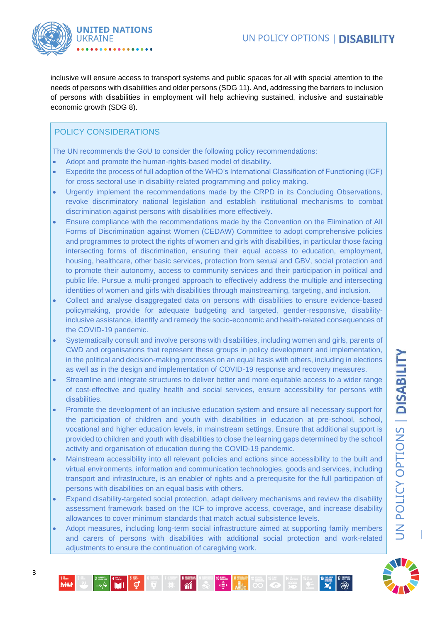

inclusive will ensure access to transport systems and public spaces for all with special attention to the needs of persons with disabilities and older persons (SDG 11). And, addressing the barriers to inclusion of persons with disabilities in employment will help achieving sustained, inclusive and sustainable economic growth (SDG 8).

## POLICY CONSIDERATIONS

The UN recommends the GoU to consider the following policy recommendations:

- Adopt and promote the human-rights-based model of disability.
- Expedite the process of full adoption of the WHO's International Classification of Functioning (ICF) for cross sectoral use in disability-related programming and policy making.
- Urgently implement the recommendations made by the CRPD in its Concluding Observations, revoke discriminatory national legislation and establish institutional mechanisms to combat discrimination against persons with disabilities more effectively.
- Ensure compliance with the recommendations made by the Convention on the Elimination of All Forms of Discrimination against Women (CEDAW) Committee to adopt comprehensive policies and programmes to protect the rights of women and girls with disabilities, in particular those facing intersecting forms of discrimination, ensuring their equal access to education, employment, housing, healthcare, other basic services, protection from sexual and GBV, social protection and to promote their autonomy, access to community services and their participation in political and public life. Pursue a multi-pronged approach to effectively address the multiple and intersecting identities of women and girls with disabilities through mainstreaming, targeting, and inclusion.
- Collect and analyse disaggregated data on persons with disabilities to ensure evidence-based policymaking, provide for adequate budgeting and targeted, gender-responsive, disabilityinclusive assistance, identify and remedy the socio-economic and health-related consequences of the COVID-19 pandemic.
- Systematically consult and involve persons with disabilities, including women and girls, parents of CWD and organisations that represent these groups in policy development and implementation, in the political and decision-making processes on an equal basis with others, including in elections as well as in the design and implementation of COVID-19 response and recovery measures.
- Streamline and integrate structures to deliver better and more equitable access to a wider range of cost-effective and quality health and social services, ensure accessibility for persons with disabilities.
- Promote the development of an inclusive education system and ensure all necessary support for the participation of children and youth with disabilities in education at pre-school, school, vocational and higher education levels, in mainstream settings. Ensure that additional support is provided to children and youth with disabilities to close the learning gaps determined by the school activity and organisation of education during the COVID-19 pandemic.
- Mainstream accessibility into all relevant policies and actions since accessibility to the built and virtual environments, information and communication technologies, goods and services, including transport and infrastructure, is an enabler of rights and a prerequisite for the full participation of persons with disabilities on an equal basis with others.
- Expand disability-targeted social protection, adapt delivery mechanisms and review the disability assessment framework based on the ICF to improve access, coverage, and increase disability allowances to cover minimum standards that match actual subsistence levels.
- Adopt measures, including long-term social infrastructure aimed at supporting family members and carers of persons with disabilities with additional social protection and work-related adjustments to ensure the continuation of caregiving work.



**MM**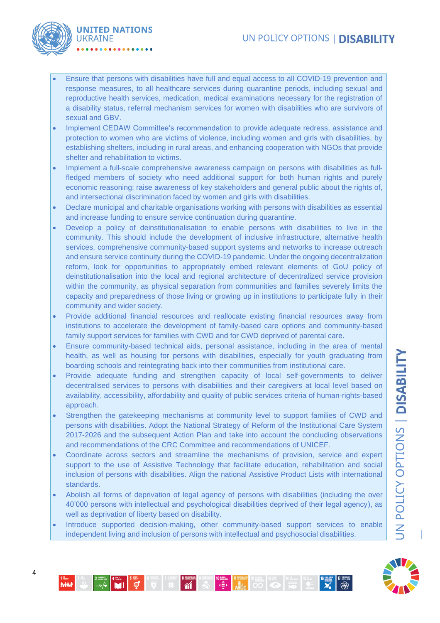# UN POLICY OPTIONS | DISABILITY



- Ensure that persons with disabilities have full and equal access to all COVID-19 prevention and response measures, to all healthcare services during quarantine periods, including sexual and reproductive health services, medication, medical examinations necessary for the registration of a disability status, referral mechanism services for women with disabilities who are survivors of sexual and GBV.
- Implement CEDAW Committee's recommendation to provide adequate redress, assistance and protection to women who are victims of violence, including women and girls with disabilities, by establishing shelters, including in rural areas, and enhancing cooperation with NGOs that provide shelter and rehabilitation to victims.
- Implement a full-scale comprehensive awareness campaign on persons with disabilities as fullfledged members of society who need additional support for both human rights and purely economic reasoning; raise awareness of key stakeholders and general public about the rights of, and intersectional discrimination faced by women and girls with disabilities.
- Declare municipal and charitable organisations working with persons with disabilities as essential and increase funding to ensure service continuation during quarantine.
- Develop a policy of deinstitutionalisation to enable persons with disabilities to live in the community. This should include the development of inclusive infrastructure, alternative health services, comprehensive community-based support systems and networks to increase outreach and ensure service continuity during the COVID-19 pandemic. Under the ongoing decentralization reform, look for opportunities to appropriately embed relevant elements of GoU policy of deinstitutionalisation into the local and regional architecture of decentralized service provision within the community, as physical separation from communities and families severely limits the capacity and preparedness of those living or growing up in institutions to participate fully in their community and wider society.
- Provide additional financial resources and reallocate existing financial resources away from institutions to accelerate the development of family-based care options and community-based family support services for families with CWD and for CWD deprived of parental care.
- Ensure community-based technical aids, personal assistance, including in the area of mental health, as well as housing for persons with disabilities, especially for youth graduating from boarding schools and reintegrating back into their communities from institutional care.
- Provide adequate funding and strengthen capacity of local self-governments to deliver decentralised services to persons with disabilities and their caregivers at local level based on availability, accessibility, affordability and quality of public services criteria of human-rights-based approach.
- Strengthen the gatekeeping mechanisms at community level to support families of CWD and persons with disabilities. Adopt the National Strategy of Reform of the Institutional Care System 2017-2026 and the subsequent Action Plan and take into account the concluding observations and recommendations of the CRC Committee and recommendations of UNICEF.
- Coordinate across sectors and streamline the mechanisms of provision, service and expert support to the use of Assistive Technology that facilitate education, rehabilitation and social inclusion of persons with disabilities. Align the national Assistive Product Lists with international standards.
- Abolish all forms of deprivation of legal agency of persons with disabilities (including the over 40'000 persons with intellectual and psychological disabilities deprived of their legal agency), as well as deprivation of liberty based on disability.
- Introduce supported decision-making, other community-based support services to enable independent living and inclusion of persons with intellectual and psychosocial disabilities.



**MAN**